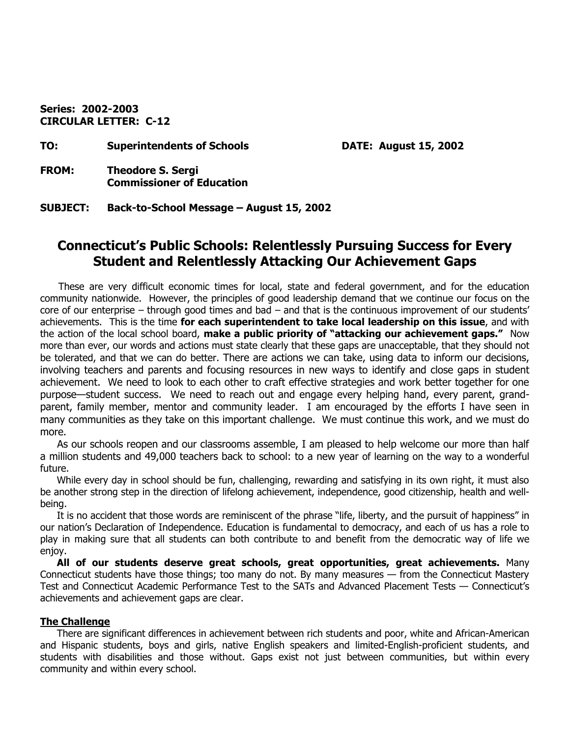**Series: 2002-2003 CIRCULAR LETTER: C-12** 

**TO: Superintendents of Schools DATE: August 15, 2002** 

- **FROM: Theodore S. Sergi Commissioner of Education**
- **SUBJECT: Back-to-School Message August 15, 2002**

# **Connecticut's Public Schools: Relentlessly Pursuing Success for Every Student and Relentlessly Attacking Our Achievement Gaps**

These are very difficult economic times for local, state and federal government, and for the education community nationwide. However, the principles of good leadership demand that we continue our focus on the core of our enterprise – through good times and bad – and that is the continuous improvement of our students' achievements. This is the time **for each superintendent to take local leadership on this issue**, and with the action of the local school board, **make a public priority of "attacking our achievement gaps."** Now more than ever, our words and actions must state clearly that these gaps are unacceptable, that they should not be tolerated, and that we can do better. There are actions we can take, using data to inform our decisions, involving teachers and parents and focusing resources in new ways to identify and close gaps in student achievement. We need to look to each other to craft effective strategies and work better together for one purpose—student success. We need to reach out and engage every helping hand, every parent, grandparent, family member, mentor and community leader. I am encouraged by the efforts I have seen in many communities as they take on this important challenge. We must continue this work, and we must do more.

As our schools reopen and our classrooms assemble, I am pleased to help welcome our more than half a million students and 49,000 teachers back to school: to a new year of learning on the way to a wonderful future.

While every day in school should be fun, challenging, rewarding and satisfying in its own right, it must also be another strong step in the direction of lifelong achievement, independence, good citizenship, health and wellbeing.

It is no accident that those words are reminiscent of the phrase "life, liberty, and the pursuit of happiness" in our nation's Declaration of Independence. Education is fundamental to democracy, and each of us has a role to play in making sure that all students can both contribute to and benefit from the democratic way of life we enjoy.

**All of our students deserve great schools, great opportunities, great achievements.** Many Connecticut students have those things; too many do not. By many measures — from the Connecticut Mastery Test and Connecticut Academic Performance Test to the SATs and Advanced Placement Tests — Connecticut's achievements and achievement gaps are clear.

### **The Challenge**

There are significant differences in achievement between rich students and poor, white and African-American and Hispanic students, boys and girls, native English speakers and limited-English-proficient students, and students with disabilities and those without. Gaps exist not just between communities, but within every community and within every school.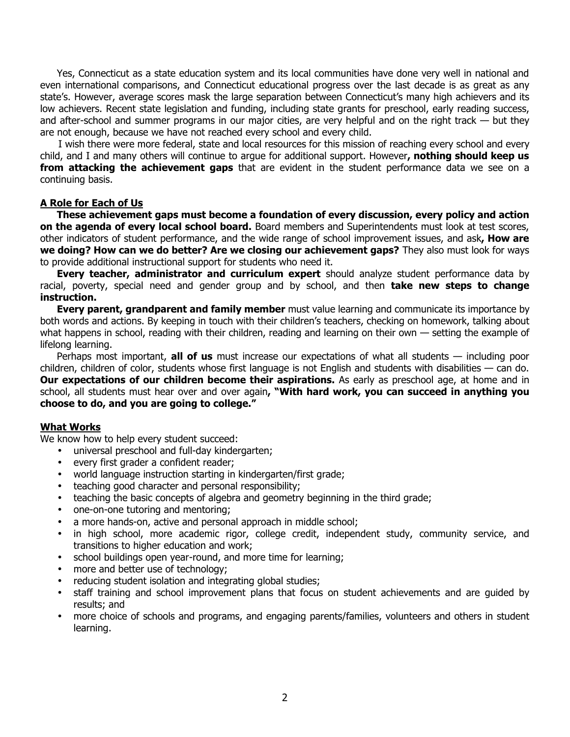Yes, Connecticut as a state education system and its local communities have done very well in national and even international comparisons, and Connecticut educational progress over the last decade is as great as any state's. However, average scores mask the large separation between Connecticut's many high achievers and its low achievers. Recent state legislation and funding, including state grants for preschool, early reading success, and after-school and summer programs in our major cities, are very helpful and on the right track — but they are not enough, because we have not reached every school and every child.

I wish there were more federal, state and local resources for this mission of reaching every school and every child, and I and many others will continue to argue for additional support. However**, nothing should keep us from attacking the achievement gaps** that are evident in the student performance data we see on a continuing basis.

### **A Role for Each of Us**

**These achievement gaps must become a foundation of every discussion, every policy and action on the agenda of every local school board.** Board members and Superintendents must look at test scores, other indicators of student performance, and the wide range of school improvement issues, and ask**, How are we doing? How can we do better? Are we closing our achievement gaps?** They also must look for ways to provide additional instructional support for students who need it.

**Every teacher, administrator and curriculum expert** should analyze student performance data by racial, poverty, special need and gender group and by school, and then **take new steps to change instruction.** 

**Every parent, grandparent and family member** must value learning and communicate its importance by both words and actions. By keeping in touch with their children's teachers, checking on homework, talking about what happens in school, reading with their children, reading and learning on their own — setting the example of lifelong learning.

Perhaps most important, **all of us** must increase our expectations of what all students — including poor children, children of color, students whose first language is not English and students with disabilities — can do. **Our expectations of our children become their aspirations.** As early as preschool age, at home and in school, all students must hear over and over again**, "With hard work, you can succeed in anything you choose to do, and you are going to college."** 

### **What Works**

We know how to help every student succeed:

- universal preschool and full-day kindergarten;
- every first grader a confident reader;
- world language instruction starting in kindergarten/first grade;
- teaching good character and personal responsibility;
- teaching the basic concepts of algebra and geometry beginning in the third grade;
- one-on-one tutoring and mentoring;
- a more hands-on, active and personal approach in middle school;
- in high school, more academic rigor, college credit, independent study, community service, and transitions to higher education and work;
- school buildings open year-round, and more time for learning;
- more and better use of technology;
- reducing student isolation and integrating global studies;
- staff training and school improvement plans that focus on student achievements and are guided by results; and
- more choice of schools and programs, and engaging parents/families, volunteers and others in student learning.